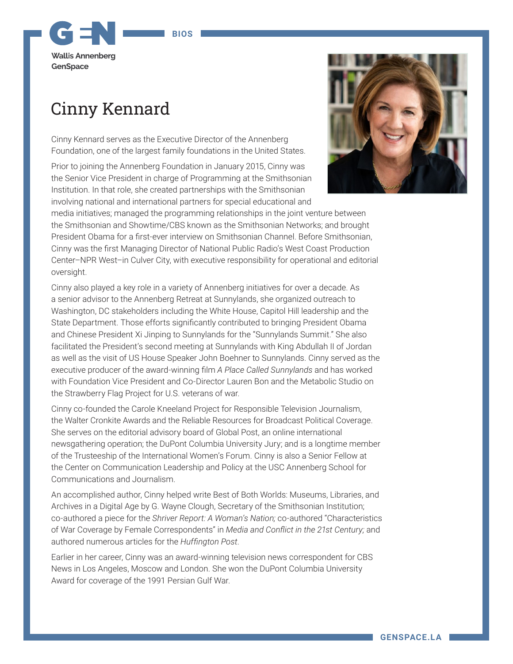## **BIOS**

**Wallls Annenberg** GenSpace

## Cinny Kennard

Cinny Kennard serves as the Executive Director of the Annenberg Foundation, one of the largest family foundations in the United States.

Prior to joining the Annenberg Foundation in January 2015, Cinny was the Senior Vice President in charge of Programming at the Smithsonian Institution. In that role, she created partnerships with the Smithsonian involving national and international partners for special educational and



media initiatives; managed the programming relationships in the joint venture between the Smithsonian and Showtime/CBS known as the Smithsonian Networks; and brought President Obama for a first-ever interview on Smithsonian Channel. Before Smithsonian, Cinny was the first Managing Director of National Public Radio's West Coast Production Center–NPR West–in Culver City, with executive responsibility for operational and editorial oversight.

Cinny also played a key role in a variety of Annenberg initiatives for over a decade. As a senior advisor to the Annenberg Retreat at Sunnylands, she organized outreach to Washington, DC stakeholders including the White House, Capitol Hill leadership and the State Department. Those efforts significantly contributed to bringing President Obama and Chinese President Xi Jinping to Sunnylands for the "Sunnylands Summit." She also facilitated the President's second meeting at Sunnylands with King Abdullah II of Jordan as well as the visit of US House Speaker John Boehner to Sunnylands. Cinny served as the executive producer of the award-winning film *A Place Called Sunnylands* and has worked with Foundation Vice President and Co-Director Lauren Bon and the Metabolic Studio on the Strawberry Flag Project for U.S. veterans of war.

Cinny co-founded the Carole Kneeland Project for Responsible Television Journalism, the Walter Cronkite Awards and the Reliable Resources for Broadcast Political Coverage. She serves on the editorial advisory board of Global Post, an online international newsgathering operation; the DuPont Columbia University Jury; and is a longtime member of the Trusteeship of the International Women's Forum. Cinny is also a Senior Fellow at the Center on Communication Leadership and Policy at the USC Annenberg School for Communications and Journalism.

An accomplished author, Cinny helped write Best of Both Worlds: Museums, Libraries, and Archives in a Digital Age by G. Wayne Clough, Secretary of the Smithsonian Institution; co-authored a piece for the *Shriver Report: A Woman's Nation;* co-authored "Characteristics of War Coverage by Female Correspondents" in *Media and Conflict in the 21st Century;* and authored numerous articles for the *Huffington Post*.

Earlier in her career, Cinny was an award-winning television news correspondent for CBS News in Los Angeles, Moscow and London. She won the DuPont Columbia University Award for coverage of the 1991 Persian Gulf War.